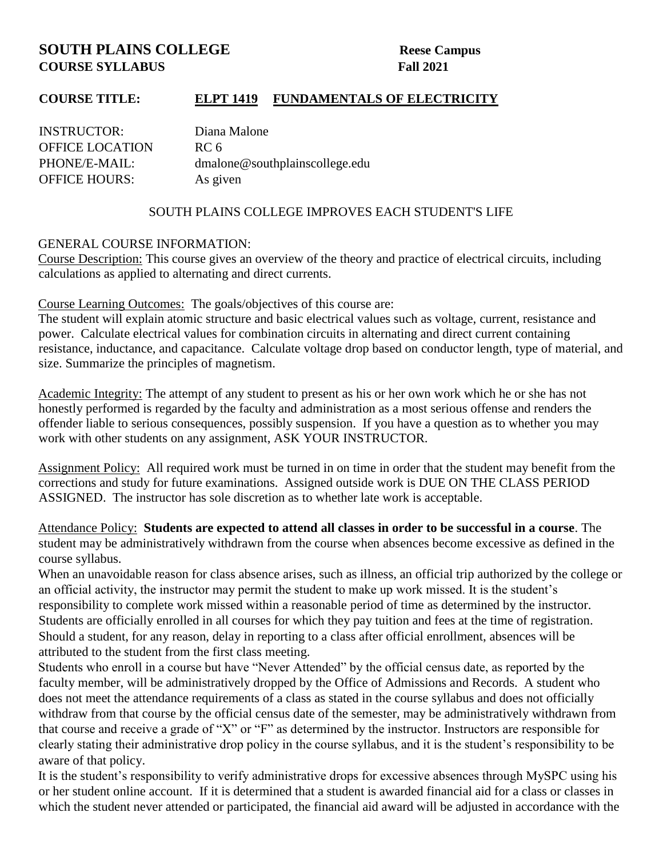# **SOUTH PLAINS COLLEGE Reese Campus COURSE SYLLABUS Fall 2021**

# **COURSE TITLE: ELPT 1419 FUNDAMENTALS OF ELECTRICITY**

| <b>INSTRUCTOR:</b>     | Diana Malone                   |
|------------------------|--------------------------------|
| <b>OFFICE LOCATION</b> | RC 6                           |
| PHONE/E-MAIL:          | dmalone@southplainscollege.edu |
| <b>OFFICE HOURS:</b>   | As given                       |

### SOUTH PLAINS COLLEGE IMPROVES EACH STUDENT'S LIFE

#### GENERAL COURSE INFORMATION:

Course Description: This course gives an overview of the theory and practice of electrical circuits, including calculations as applied to alternating and direct currents.

Course Learning Outcomes: The goals/objectives of this course are:

The student will explain atomic structure and basic electrical values such as voltage, current, resistance and power. Calculate electrical values for combination circuits in alternating and direct current containing resistance, inductance, and capacitance. Calculate voltage drop based on conductor length, type of material, and size. Summarize the principles of magnetism.

Academic Integrity: The attempt of any student to present as his or her own work which he or she has not honestly performed is regarded by the faculty and administration as a most serious offense and renders the offender liable to serious consequences, possibly suspension. If you have a question as to whether you may work with other students on any assignment, ASK YOUR INSTRUCTOR.

Assignment Policy: All required work must be turned in on time in order that the student may benefit from the corrections and study for future examinations. Assigned outside work is DUE ON THE CLASS PERIOD ASSIGNED. The instructor has sole discretion as to whether late work is acceptable.

Attendance Policy: **Students are expected to attend all classes in order to be successful in a course**. The student may be administratively withdrawn from the course when absences become excessive as defined in the course syllabus.

When an unavoidable reason for class absence arises, such as illness, an official trip authorized by the college or an official activity, the instructor may permit the student to make up work missed. It is the student's responsibility to complete work missed within a reasonable period of time as determined by the instructor. Students are officially enrolled in all courses for which they pay tuition and fees at the time of registration. Should a student, for any reason, delay in reporting to a class after official enrollment, absences will be attributed to the student from the first class meeting.

Students who enroll in a course but have "Never Attended" by the official census date, as reported by the faculty member, will be administratively dropped by the Office of Admissions and Records. A student who does not meet the attendance requirements of a class as stated in the course syllabus and does not officially withdraw from that course by the official census date of the semester, may be administratively withdrawn from that course and receive a grade of "X" or "F" as determined by the instructor. Instructors are responsible for clearly stating their administrative drop policy in the course syllabus, and it is the student's responsibility to be aware of that policy.

It is the student's responsibility to verify administrative drops for excessive absences through MySPC using his or her student online account. If it is determined that a student is awarded financial aid for a class or classes in which the student never attended or participated, the financial aid award will be adjusted in accordance with the